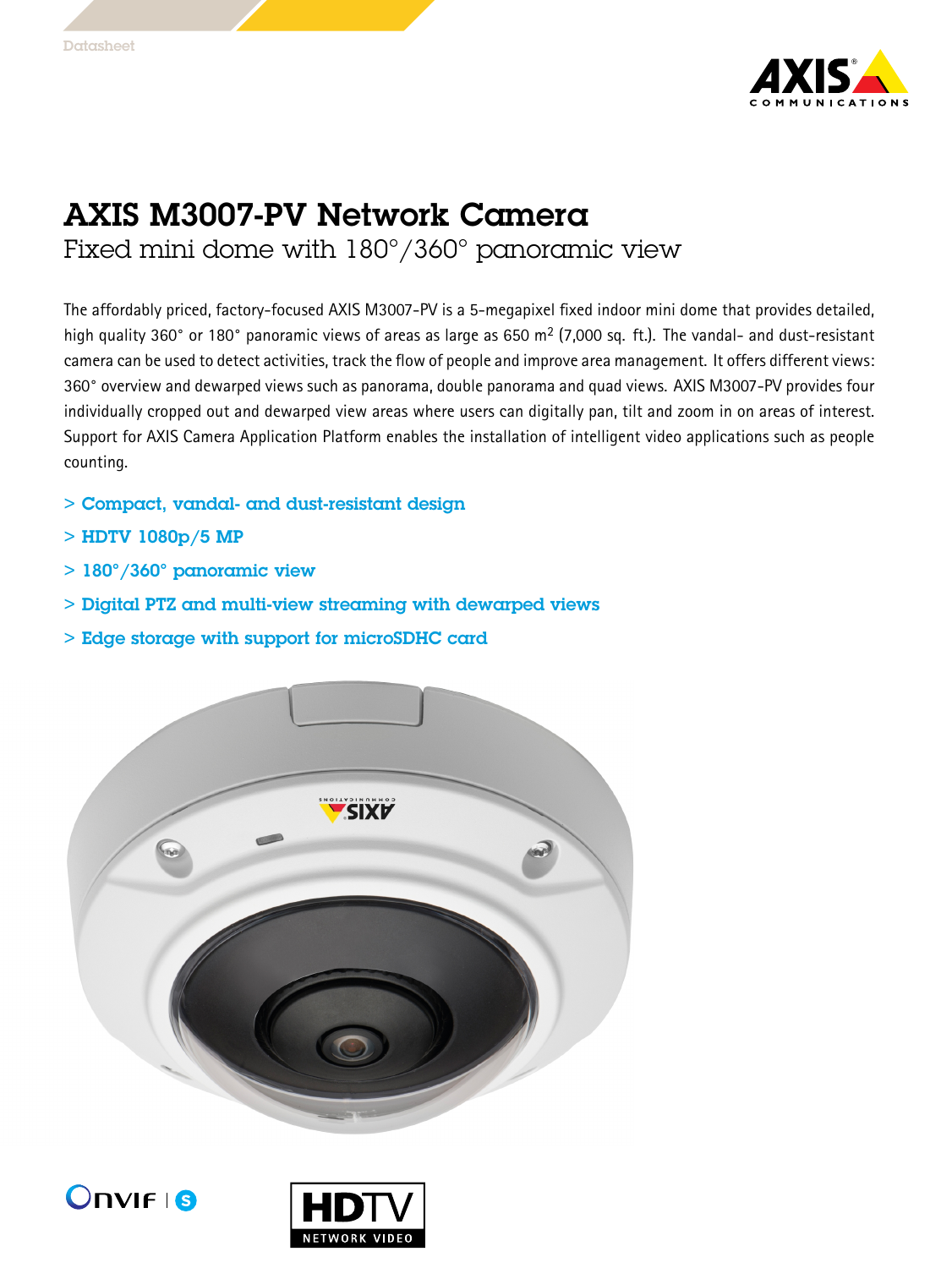



## AXIS M3007-PV Network Camera

Fixed mini dome with 180°/360° panoramic view

The affordably priced, factory-focused AXIS M3007-PV is <sup>a</sup> 5-megapixel fixed indoor mini dome that provides detailed, high quality 360° or 180° panoramic views of areas as large as 650 m $^2$  (7,000 sq. ft.). The vandal- and dust-resistant camera can be used to detect activities, track the flow of people and improve area management. It offers different views: 360° overview and dewarped views such as panorama, double panorama and quad views. AXIS M3007-PV provides four individually cropped out and dewarped view areas where users can digitally pan, tilt and zoom in on areas of interest. Support for AXIS Camera Application Platform enables the installation of intelligent video applications such as people counting.

- > Compact, vandal- and dust-resistant design
- $>$  HDTV 1080p/5 MP
- $> 180^{\circ}/360^{\circ}$  panoramic view
- > Digital PTZ and multi-view streaming with dewarped views
- > Edge storage with support for microSDHC card